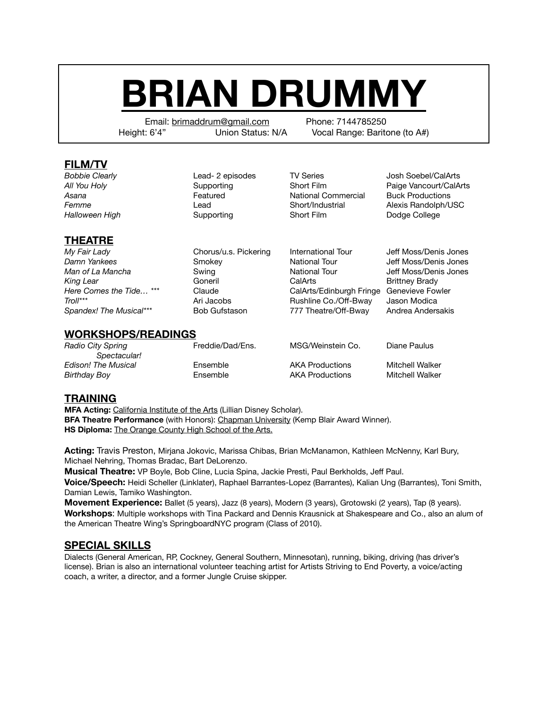# **BRIAN DRUMMY**

Email: brimaddrum@gmail.com Phone: 7144785250 Height: 6'4" Union Status: N/A Vocal Range: Baritone (to A#)

#### **FILM/TV**

**Bobbie Clearly Cleatic Clead- 2 episodes TV Series Cleatic Society** Clead- 2 episodes **TV Series Cleatic Society** Clead- 2 episodes **TV Series Cleatic Society** Cleanus *Asana*  Featured National Commercial Buck Productions **Halloween High** Supporting Short Film Dodge College

All You Holy **Supporting** Short Film **Provide Vancourt/CalArts Control** Short Film **Provide Vancourt/CalArts Femme** *Come* **Lead** *Come* **Comeb** *Lead* **Short/Industrial** *Alexis Randolph/USC* 

## **THEATRE**

*My Fair Lady* Chorus/u.s. Pickering International Tour Jeff Moss/Denis Jones *Damn Yankees* Smokey National Tour Jeff Moss/Denis Jones **Man of La Mancha Swing Communisty Communisty Communisty Communisty Communisty Communisty Communisty Communisty Communisty Communisty Communisty Communisty Communisty Communisty Communisty Communisty Communisty Communi** King Lear **Coneril Coneril CalArts** CalArts **Brittney Brady** Here Comes the Tide...<sup>\*\*\*</sup> Claude CalArts/Edinburgh Fringe Genevieve Fowler *Troll\*\*\**  Ari Jacobs Rushline Co./Off-Bway Jason Modica *Spandex! The Musical\*\*\** Bob Gufstason 777 Theatre/Off-Bway Andrea Andersakis

### **WORKSHOPS/READINGS**

| Radio City Spring   | Freddie/Dad/Ens. | MSG/Weinstein Co.      | Diane Paulus    |
|---------------------|------------------|------------------------|-----------------|
| Spectacular!        |                  |                        |                 |
| Edison! The Musical | Ensemble         | <b>AKA Productions</b> | Mitchell Walker |
| Birthday Boy        | Ensemble         | <b>AKA Productions</b> | Mitchell Walker |
|                     |                  |                        |                 |

### **TRAINING**

**MFA Acting:** California Institute of the Arts (Lillian Disney Scholar). **BFA Theatre Performance** (with Honors): Chapman University (Kemp Blair Award Winner). **HS Diploma:** The Orange County High School of the Arts.

**Acting:** Travis Preston, Mirjana Jokovic, Marissa Chibas, Brian McManamon, Kathleen McNenny, Karl Bury, Michael Nehring, Thomas Bradac, Bart DeLorenzo.

**Musical Theatre:** VP Boyle, Bob Cline, Lucia Spina, Jackie Presti, Paul Berkholds, Jeff Paul.

**Voice/Speech:** Heidi Scheller (Linklater), Raphael Barrantes-Lopez (Barrantes), Kalian Ung (Barrantes), Toni Smith, Damian Lewis, Tamiko Washington.

**Movement Experience:** Ballet (5 years), Jazz (8 years), Modern (3 years), Grotowski (2 years), Tap (8 years). **Workshops**: Multiple workshops with Tina Packard and Dennis Krausnick at Shakespeare and Co., also an alum of the American Theatre Wing's SpringboardNYC program (Class of 2010).

### **SPECIAL SKILLS**

Dialects (General American, RP, Cockney, General Southern, Minnesotan), running, biking, driving (has driver's license). Brian is also an international volunteer teaching artist for Artists Striving to End Poverty, a voice/acting coach, a writer, a director, and a former Jungle Cruise skipper.